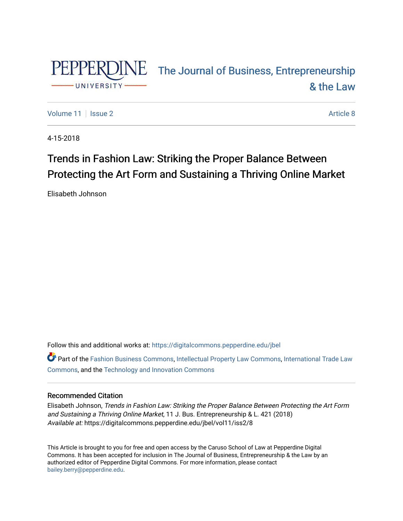

# PEPPERDINE The Journal of Business, Entrepreneurship [& the Law](https://digitalcommons.pepperdine.edu/jbel)

[Volume 11](https://digitalcommons.pepperdine.edu/jbel/vol11) | [Issue 2](https://digitalcommons.pepperdine.edu/jbel/vol11/iss2) Article 8

4-15-2018

# Trends in Fashion Law: Striking the Proper Balance Between Protecting the Art Form and Sustaining a Thriving Online Market

Elisabeth Johnson

Follow this and additional works at: [https://digitalcommons.pepperdine.edu/jbel](https://digitalcommons.pepperdine.edu/jbel?utm_source=digitalcommons.pepperdine.edu%2Fjbel%2Fvol11%2Fiss2%2F8&utm_medium=PDF&utm_campaign=PDFCoverPages) 

Part of the [Fashion Business Commons,](http://network.bepress.com/hgg/discipline/1147?utm_source=digitalcommons.pepperdine.edu%2Fjbel%2Fvol11%2Fiss2%2F8&utm_medium=PDF&utm_campaign=PDFCoverPages) [Intellectual Property Law Commons,](http://network.bepress.com/hgg/discipline/896?utm_source=digitalcommons.pepperdine.edu%2Fjbel%2Fvol11%2Fiss2%2F8&utm_medium=PDF&utm_campaign=PDFCoverPages) [International Trade Law](http://network.bepress.com/hgg/discipline/848?utm_source=digitalcommons.pepperdine.edu%2Fjbel%2Fvol11%2Fiss2%2F8&utm_medium=PDF&utm_campaign=PDFCoverPages)  [Commons](http://network.bepress.com/hgg/discipline/848?utm_source=digitalcommons.pepperdine.edu%2Fjbel%2Fvol11%2Fiss2%2F8&utm_medium=PDF&utm_campaign=PDFCoverPages), and the [Technology and Innovation Commons](http://network.bepress.com/hgg/discipline/644?utm_source=digitalcommons.pepperdine.edu%2Fjbel%2Fvol11%2Fiss2%2F8&utm_medium=PDF&utm_campaign=PDFCoverPages) 

# Recommended Citation

Elisabeth Johnson, Trends in Fashion Law: Striking the Proper Balance Between Protecting the Art Form and Sustaining a Thriving Online Market, 11 J. Bus. Entrepreneurship & L. 421 (2018) Available at: https://digitalcommons.pepperdine.edu/jbel/vol11/iss2/8

This Article is brought to you for free and open access by the Caruso School of Law at Pepperdine Digital Commons. It has been accepted for inclusion in The Journal of Business, Entrepreneurship & the Law by an authorized editor of Pepperdine Digital Commons. For more information, please contact [bailey.berry@pepperdine.edu](mailto:bailey.berry@pepperdine.edu).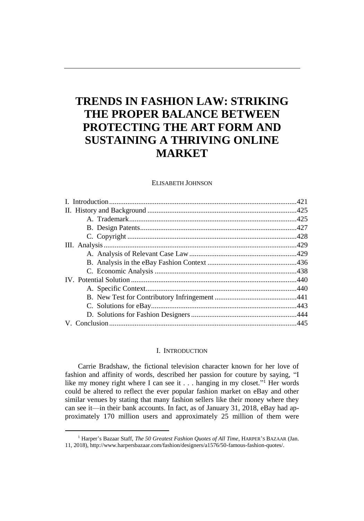# **TRENDS IN FASHION LAW: STRIKING THE PROPER BALANCE BETWEEN PROTECTING THE ART FORM AND SUSTAINING A THRIVING ONLINE MARKET**

#### ELISABETH JOHNSON

## I. INTRODUCTION

Carrie Bradshaw, the fictional television character known for her love of fashion and affinity of words, described her passion for couture by saying, "I like my money right where I can see it . . . hanging in my closet."<sup>1</sup> Her words could be altered to reflect the ever popular fashion market on eBay and other similar venues by stating that many fashion sellers like their money where they can see it—in their bank accounts. In fact, as of January 31, 2018, eBay had approximately 170 million users and approximately 25 million of them were

<sup>&</sup>lt;sup>1</sup> Harper's Bazaar Staff, *The 50 Greatest Fashion Quotes of All Time*, HARPER'S BAZAAR (Jan. 11, 2018), http://www.harpersbazaar.com/fashion/designers/a1576/50-famous-fashion-quotes/.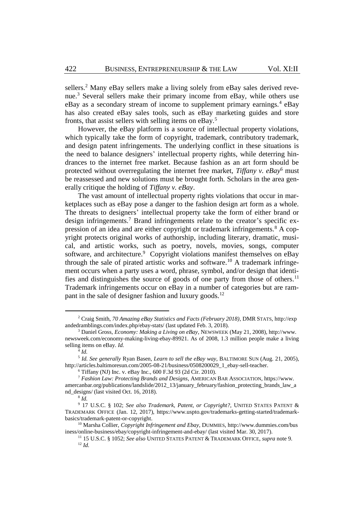<span id="page-2-1"></span>sellers.<sup>2</sup> Many eBay sellers make a living solely from eBay sales derived revenue. <sup>3</sup> Several sellers make their primary income from eBay, while others use eBay as a secondary stream of income to supplement primary earnings.<sup>4</sup> eBay has also created eBay sales tools, such as eBay marketing guides and store fronts, that assist sellers with selling items on eBay.<sup>5</sup>

<span id="page-2-2"></span>However, the eBay platform is a source of intellectual property violations, which typically take the form of copyright, trademark, contributory trademark, and design patent infringements. The underlying conflict in these situations is the need to balance designers' intellectual property rights, while deterring hindrances to the internet free market. Because fashion as an art form should be protected without overregulating the internet free market, *Tiffany v. eBay*<sup>6</sup> must be reassessed and new solutions must be brought forth. Scholars in the area generally critique the holding of *Tiffany v. eBay*.

<span id="page-2-0"></span>The vast amount of intellectual property rights violations that occur in marketplaces such as eBay pose a danger to the fashion design art form as a whole. The threats to designers' intellectual property take the form of either brand or design infringements.<sup>7</sup> Brand infringements relate to the creator's specific expression of an idea and are either copyright or trademark infringements.<sup>8</sup> A copyright protects original works of authorship, including literary, dramatic, musical, and artistic works, such as poetry, novels, movies, songs, computer software, and architecture.<sup>9</sup> Copyright violations manifest themselves on eBay through the sale of pirated artistic works and software.<sup>10</sup> A trademark infringement occurs when a party uses a word, phrase, symbol, and/or design that identifies and distinguishes the source of goods of one party from those of others.<sup>11</sup> Trademark infringements occur on eBay in a number of categories but are rampant in the sale of designer fashion and luxury goods.<sup>12</sup>

<sup>2</sup> Craig Smith, *70 Amazing eBay Statistics and Facts (February 2018)*, DMR STATS, http://exp andedramblings.com/index.php/ebay-stats/ (last updated Feb. 3, 2018).

<sup>3</sup> Daniel Gross, *Economy: Making a Living on eBay*, NEWSWEEK (May 21, 2008), http://www. newsweek.com/economy-making-living-ebay-89921. As of 2008, 1.3 million people make a living selling items on eBay. *Id.*

<sup>4</sup> *Id.*

<sup>5</sup> *Id. See generally* Ryan Basen, *Learn to sell the eBay way*, BALTIMORE SUN (Aug. 21, 2005), http://articles.baltimoresun.com/2005-08-21/business/0508200029\_1\_ebay-sell-teacher.

 $6$  Tiffany (NJ) Inc. v. eBay Inc., 600 F.3d 93 (2d Cir. 2010).

<sup>7</sup> *Fashion Law: Protecting Brands and Designs*, AMERICAN BAR ASSOCIATION, https://www. amercanbar.org/publications/landslide/2012\_13/january\_february/fashion\_protecting\_brands\_law\_a nd\_designs/ (last visited Oct. 16, 2018).

<sup>8</sup> *Id.*

<sup>9</sup> 17 U.S.C. § 102; *See also Trademark, Patent, or Copyright?*, UNITED STATES PATENT & TRADEMARK OFFICE (Jan. 12, 2017), https://www.uspto.gov/trademarks-getting-started/trademarkbasics/trademark-patent-or-copyright.

<sup>10</sup> Marsha Collier, *Copyright Infringement and Ebay*, DUMMIES, http://www.dummies.com/bus iness/online-business/ebay/copyright-infringement-and-ebay/ (last visited Mar. 30, 2017).

<sup>11</sup> 15 U.S.C. § 1052; *See also* UNITED STATES PATENT & TRADEMARK OFFICE, *supra* not[e 9.](#page-2-0)  <sup>12</sup> *Id.*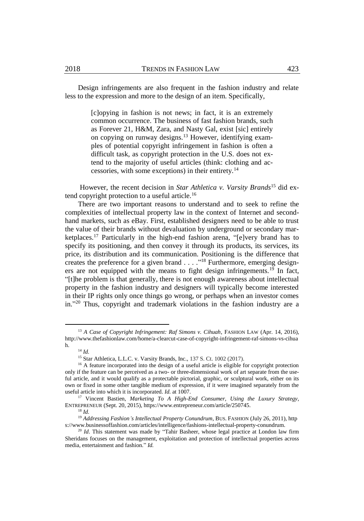Design infringements are also frequent in the fashion industry and relate less to the expression and more to the design of an item. Specifically,

> [c]opying in fashion is not news; in fact, it is an extremely common occurrence. The business of fast fashion brands, such as Forever 21, H&M, Zara, and Nasty Gal, exist [sic] entirely on copying on runway designs.<sup>13</sup> However, identifying examples of potential copyright infringement in fashion is often a difficult task, as copyright protection in the U.S. does not extend to the majority of useful articles (think: clothing and accessories, with some exceptions) in their entirety.<sup>14</sup>

However, the recent decision in *Star Athletica v. Varsity Brands*<sup>15</sup> did extend copyright protection to a useful article.<sup>16</sup>

<span id="page-3-1"></span>There are two important reasons to understand and to seek to refine the complexities of intellectual property law in the context of Internet and secondhand markets, such as eBay. First, established designers need to be able to trust the value of their brands without devaluation by underground or secondary marketplaces.<sup>17</sup> Particularly in the high-end fashion arena, "[e]very brand has to specify its positioning, and then convey it through its products, its services, its price, its distribution and its communication. Positioning is the difference that creates the preference for a given brand  $\ldots$ <sup>18</sup> Furthermore, emerging designers are not equipped with the means to fight design infringements.<sup>19</sup> In fact, "[t]he problem is that generally, there is not enough awareness about intellectual property in the fashion industry and designers will typically become interested in their IP rights only once things go wrong, or perhaps when an investor comes in." <sup>20</sup> Thus, copyright and trademark violations in the fashion industry are a

<sup>&</sup>lt;sup>13</sup> *A Case of Copyright Infringement: Raf Simons v. Cihuah, FASHION LAW (Apr. 14, 2016),* http://www.thefashionlaw.com/home/a-clearcut-case-of-copyright-infringement-raf-simons-vs-cihua h.

<span id="page-3-0"></span><sup>14</sup> *Id.*

<sup>15</sup> Star Athletica, L.L.C. v. Varsity Brands, Inc., 137 S. Ct. 1002 (2017).

<sup>&</sup>lt;sup>16</sup> A feature incorporated into the design of a useful article is eligible for copyright protection only if the feature can be perceived as a two- or three-dimensional work of art separate from the useful article, and it would qualify as a protectable pictorial, graphic, or sculptural work, either on its own or fixed in some other tangible medium of expression, if it were imagined separately from the useful article into which it is incorporated. *Id.* at 1007.

<sup>17</sup> Vincent Bastien, *Marketing To A High-End Consumer, Using the Luxury Strategy*, ENTREPRENEUR (Sept. 20, 2015), https://www.entrepreneur.com/article/250745.

<sup>18</sup> *Id.*

<sup>&</sup>lt;sup>19</sup> Addressing Fashion's Intellectual Property Conundrum, BUS. FASHION (July 26, 2011), http s://www.businessoffashion.com/articles/intelligence/fashions-intellectual-property-conundrum.

<sup>20</sup> *Id*. This statement was made by "Tahir Basheer, whose legal practice at London law firm Sheridans focuses on the management, exploitation and protection of intellectual properties across media, entertainment and fashion." *Id.*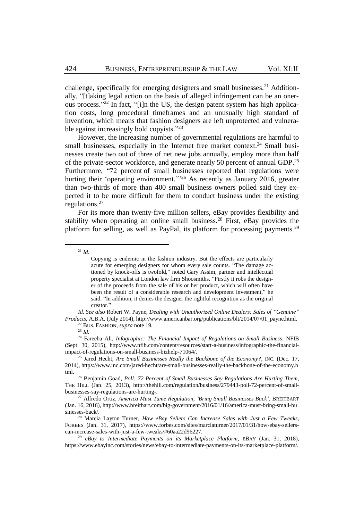challenge, specifically for emerging designers and small businesses.<sup>21</sup> Additionally, "[t]aking legal action on the basis of alleged infringement can be an onerous process." <sup>22</sup> In fact, "[i]n the US, the design patent system has high application costs, long procedural timeframes and an unusually high standard of invention, which means that fashion designers are left unprotected and vulnerable against increasingly bold copyists."<sup>23</sup>

<span id="page-4-0"></span>However, the increasing number of governmental regulations are harmful to small businesses, especially in the Internet free market context.<sup>24</sup> Small businesses create two out of three of net new jobs annually, employ more than half of the private-sector workforce, and generate nearly 50 percent of annual GDP.<sup>25</sup> Furthermore, "72 percent of small businesses reported that regulations were hurting their 'operating environment."<sup>26</sup> As recently as January 2016, greater than two-thirds of more than 400 small business owners polled said they expected it to be more difficult for them to conduct business under the existing regulations.<sup>27</sup>

For its more than twenty-five million sellers, eBay provides flexibility and stability when operating an online small business.<sup>28</sup> First, eBay provides the platform for selling, as well as PayPal, its platform for processing payments.<sup>29</sup>

<sup>21</sup> *Id*.

 $\overline{a}$ 

*Id. See also* Robert W. Payne, *Dealing with Unauthorized Online Dealers: Sales of "Genuine" Products*, A.B.A. (July 2014), http://www.americanbar.org/publications/blt/2014/07/01\_payne.html.

<sup>24</sup> Fareeha Ali, *Infographic: The Financial Impact of Regulations on Small Business*, NFIB (Sept. 30, 2015), http://www.nfib.com/content/resources/start-a-business/infographic-the-financialimpact-of-regulations-on-small-business-bizhelp-71064/.

Copying is endemic in the fashion industry. But the effects are particularly acute for emerging designers for whom every sale counts. "The damage actioned by knock-offs is twofold," noted Gary Assim, partner and intellectual property specialist at London law firm Shoosmiths. "Firstly it robs the designer of the proceeds from the sale of his or her product, which will often have been the result of a considerable research and development investment," he said. "In addition, it denies the designer the rightful recognition as the original creator."

<sup>22</sup> BUS. FASHION, *supra* not[e 19](#page-3-0)*.*

<sup>23</sup> *Id.*

<sup>25</sup> Jared Hecht, *Are Small Businesses Really the Backbone of the Economy?*, INC. (Dec. 17, 2014), https://www.inc.com/jared-hecht/are-small-businesses-really-the-backbone-of-the-economy.h tml.

<sup>26</sup> Benjamin Goad*, Poll: 72 Percent of Small Businesses Say Regulations Are Hurting Them*, THE HILL (Jan. 25, 2013), http://thehill.com/regulation/business/279443-poll-72-percent-of-smallbusinesses-say-regulations-are-hurting-.

<sup>27</sup> Alfredo Ortiz, *America Must Tame Regulation, 'Bring Small Businesses Back'*, BREITBART (Jan. 16, 2016), http://www.breitbart.com/big-government/2016/01/16/america-must-bring-small-bu sinesses-back/.

<sup>28</sup> Marcia Layton Turner, *How eBay Sellers Can Increase Sales with Just a Few Tweaks*, FORBES (Jan. 31, 2017), https://www.forbes.com/sites/marciaturner/2017/01/31/how-ebay-sellerscan-increase-sales-with-just-a-few-tweaks/#60aa22d96227.

<sup>29</sup> *eBay to Intermediate Payments on its Marketplace Platform*, EBAY (Jan. 31, 2018), https://www.ebayinc.com/stories/news/ebay-to-intermediate-payments-on-its-marketplace-platform/.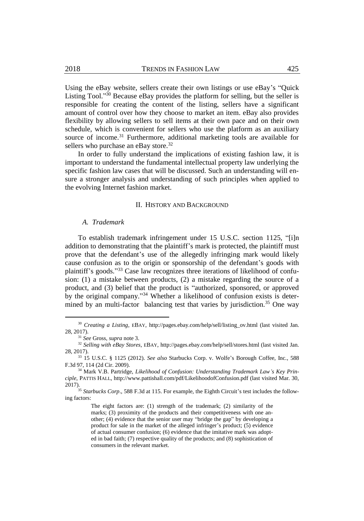Using the eBay website, sellers create their own listings or use eBay's "Quick Listing Tool."<sup>30</sup> Because eBay provides the platform for selling, but the seller is responsible for creating the content of the listing, sellers have a significant amount of control over how they choose to market an item. eBay also provides flexibility by allowing sellers to sell items at their own pace and on their own schedule, which is convenient for sellers who use the platform as an auxiliary source of income.<sup>31</sup> Furthermore, additional marketing tools are available for sellers who purchase an eBay store.<sup>32</sup>

In order to fully understand the implications of existing fashion law, it is important to understand the fundamental intellectual property law underlying the specific fashion law cases that will be discussed. Such an understanding will ensure a stronger analysis and understanding of such principles when applied to the evolving Internet fashion market.

# II. HISTORY AND BACKGROUND

#### *A. Trademark*

To establish trademark infringement under 15 U.S.C. section 1125, "[i]n addition to demonstrating that the plaintiff's mark is protected, the plaintiff must prove that the defendant's use of the allegedly infringing mark would likely cause confusion as to the origin or sponsorship of the defendant's goods with plaintiff's goods."<sup>33</sup> Case law recognizes three iterations of likelihood of confusion: (1) a mistake between products, (2) a mistake regarding the source of a product, and (3) belief that the product is "authorized, sponsored, or approved by the original company."<sup>34</sup> Whether a likelihood of confusion exists is determined by an multi-factor balancing test that varies by jurisdiction.<sup>35</sup> One way

<sup>&</sup>lt;sup>30</sup> *Creating a Listing*, EBAY, http://pages.ebay.com/help/sell/listing ov.html (last visited Jan. 28, 2017).

<sup>31</sup> *See* Gross, *supra* not[e 3.](#page-2-1)

<sup>32</sup> *Selling with eBay Stores*, EBAY, http://pages.ebay.com/help/sell/stores.html (last visited Jan. 28, 2017).

<sup>33</sup> 15 U.S.C. § 1125 (2012). *See also* Starbucks Corp. v. Wolfe's Borough Coffee, Inc*.*, 588 F.3d 97, 114 (2d Cir. 2009).

<sup>34</sup> Mark V.B. Partridge, *Likelihood of Confusion: Understanding Trademark Law's Key Principle*, PATTIS HALL, http://www.pattishall.com/pdf/LikelihoodofConfusion.pdf (last visited Mar. 30, 2017).

<sup>&</sup>lt;sup>35</sup> Starbucks Corp., 588 F.3d at 115. For example, the Eighth Circuit's test includes the following factors:

The eight factors are: (1) strength of the trademark; (2) similarity of the marks; (3) proximity of the products and their competitiveness with one another; (4) evidence that the senior user may "bridge the gap" by developing a product for sale in the market of the alleged infringer's product; (5) evidence of actual consumer confusion; (6) evidence that the imitative mark was adopted in bad faith; (7) respective quality of the products; and (8) sophistication of consumers in the relevant market.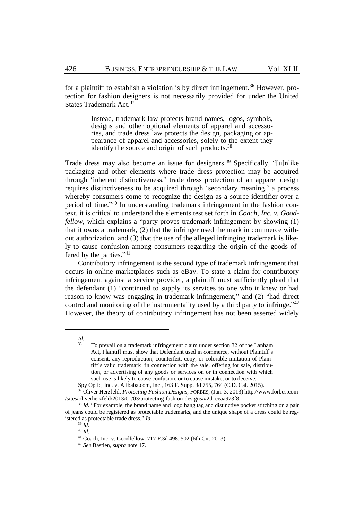for a plaintiff to establish a violation is by direct infringement.<sup>36</sup> However, protection for fashion designers is not necessarily provided for under the United States Trademark Act.<sup>37</sup>

> <span id="page-6-0"></span>Instead, trademark law protects brand names, logos, symbols, designs and other optional elements of apparel and accessories, and trade dress law protects the design, packaging or appearance of apparel and accessories, solely to the extent they identify the source and origin of such products.<sup>38</sup>

Trade dress may also become an issue for designers.<sup>39</sup> Specifically, "[u]nlike packaging and other elements where trade dress protection may be acquired through 'inherent distinctiveness,' trade dress protection of an apparel design requires distinctiveness to be acquired through 'secondary meaning,' a process whereby consumers come to recognize the design as a source identifier over a period of time." <sup>40</sup> In understanding trademark infringement in the fashion context, it is critical to understand the elements test set forth in *Coach, Inc. v. Goodfellow*, which explains a "party proves trademark infringement by showing (1) that it owns a trademark, (2) that the infringer used the mark in commerce without authorization, and (3) that the use of the alleged infringing trademark is likely to cause confusion among consumers regarding the origin of the goods offered by the parties."<sup>41</sup>

Contributory infringement is the second type of trademark infringement that occurs in online marketplaces such as eBay. To state a claim for contributory infringement against a service provider, a plaintiff must sufficiently plead that the defendant (1) "continued to supply its services to one who it knew or had reason to know was engaging in trademark infringement," and (2) "had direct control and monitoring of the instrumentality used by a third party to infringe." $42$ However, the theory of contributory infringement has not been asserted widely

*Id.*

<sup>36</sup> To prevail on a trademark infringement claim under section 32 of the Lanham Act, Plaintiff must show that Defendant used in commerce, without Plaintiff's consent, any reproduction, counterfeit, copy, or colorable imitation of Plaintiff's valid trademark 'in connection with the sale, offering for sale, distribution, or advertising of any goods or services on or in connection with which such use is likely to cause confusion, or to cause mistake, or to deceive.

Spy Optic, Inc. v. Alibaba.com, Inc., 163 F. Supp. 3d 755, 764 (C.D. Cal. 2015).

<sup>37</sup> Oliver Herzfeld, *Protecting Fashion Designs*, FORBES, (Jan. 3, 2013) http://www.forbes.com /sites/oliverherzfeld/2013/01/03/protecting-fashion-designs/#2d1ceaa973f8.

<sup>&</sup>lt;sup>38</sup> *Id.* "For example, the brand name and logo hang tag and distinctive pocket stitching on a pair of jeans could be registered as protectable trademarks, and the unique shape of a dress could be registered as protectable trade dress." *Id.*

<sup>39</sup> *Id.*

<sup>40</sup> *Id.*

<sup>41</sup> Coach, Inc. v. Goodfellow, 717 F.3d 498, 502 (6th Cir. 2013).

<sup>42</sup> *See* Bastien, *supra* not[e 17.](#page-3-1)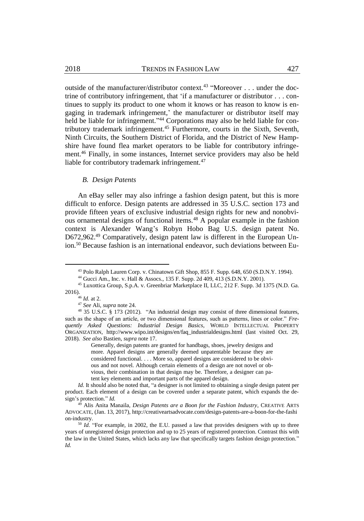outside of the manufacturer/distributor context.<sup>43</sup> "Moreover . . . under the doctrine of contributory infringement, that 'if a manufacturer or distributor . . . continues to supply its product to one whom it knows or has reason to know is engaging in trademark infringement,' the manufacturer or distributor itself may held be liable for infringement."<sup>44</sup> Corporations may also be held liable for contributory trademark infringement.<sup>45</sup> Furthermore, courts in the Sixth, Seventh, Ninth Circuits, the Southern District of Florida, and the District of New Hampshire have found flea market operators to be liable for contributory infringement.<sup>46</sup> Finally, in some instances, Internet service providers may also be held liable for contributory trademark infringement.<sup>47</sup>

#### *B. Design Patents*

An eBay seller may also infringe a fashion design patent, but this is more difficult to enforce. Design patents are addressed in 35 U.S.C. section 173 and provide fifteen years of exclusive industrial design rights for new and nonobvious ornamental designs of functional items.<sup>48</sup> A popular example in the fashion context is Alexander Wang's Robyn Hobo Bag U.S. design patent No. D672,962.<sup>49</sup> Comparatively, design patent law is different in the European Union.<sup>50</sup> Because fashion is an international endeavor, such deviations between Eu-

 $\overline{a}$ 

Generally, design patents are granted for handbags, shoes, jewelry designs and more. Apparel designs are generally deemed unpatentable because they are considered functional. . . . More so, apparel designs are considered to be obvious and not novel. Although certain elements of a design are not novel or obvious, their combination in that design may be. Therefore, a designer can patent key elements and important parts of the apparel design.

<sup>43</sup> Polo Ralph Lauren Corp. v. Chinatown Gift Shop, 855 F. Supp. 648, 650 (S.D.N.Y. 1994).

<sup>44</sup> Gucci Am., Inc. v. Hall & Assocs., 135 F. Supp. 2d 409, 413 (S.D.N.Y. 2001).

<sup>45</sup> Luxottica Group, S.p.A. v. Greenbriar Marketplace II, LLC, 212 F. Supp. 3d 1375 (N.D. Ga. 2016).

<sup>46</sup> *Id.* at 2.

<sup>47</sup> *See* Ali, *supra* not[e 24.](#page-4-0) 

<sup>48</sup> 35 U.S.C. § 173 (2012). "An industrial design may consist of three dimensional features, such as the shape of an article, or two dimensional features, such as patterns, lines or color." *Frequently Asked Questions: Industrial Design Basics*, WORLD INTELLECTUAL PROPERTY ORGANIZATION, http://www.wipo.int/designs/en/faq\_industrialdesigns.html (last visited Oct. 29, 2018). *See also* Bastien, *supra* not[e 17.](#page-3-1)

*Id.* It should also be noted that, "a designer is not limited to obtaining a single design patent per product. Each element of a design can be covered under a separate patent, which expands the design's protection." *Id.*

<sup>49</sup> Alis Anita Manaila, *Design Patents are a Boon for the Fashion Industry*, CREATIVE ARTS ADVOCATE, (Jan. 13, 2017), http://creativeartsadvocate.com/design-patents-are-a-boon-for-the-fashi on-industry.

<sup>&</sup>lt;sup>50</sup> *Id.* "For example, in 2002, the E.U. passed a law that provides designers with up to three years of unregistered design protection and up to 25 years of registered protection. Contrast this with the law in the United States, which lacks any law that specifically targets fashion design protection." *Id.*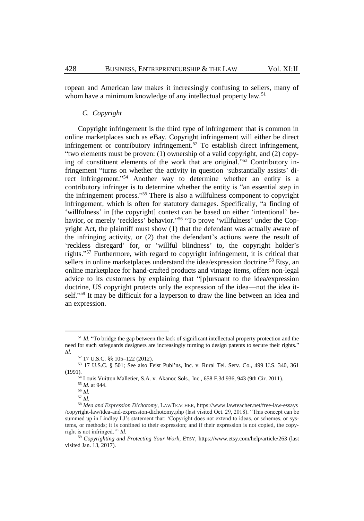ropean and American law makes it increasingly confusing to sellers, many of whom have a minimum knowledge of any intellectual property law.<sup>51</sup>

# *C. Copyright*

Copyright infringement is the third type of infringement that is common in online marketplaces such as eBay. Copyright infringement will either be direct infringement or contributory infringement.<sup>52</sup> To establish direct infringement, "two elements must be proven: (1) ownership of a valid copyright, and (2) copying of constituent elements of the work that are original." <sup>53</sup> Contributory infringement "turns on whether the activity in question 'substantially assists' direct infringement."<sup>54</sup> Another way to determine whether an entity is a contributory infringer is to determine whether the entity is "an essential step in the infringement process." <sup>55</sup> There is also a willfulness component to copyright infringement, which is often for statutory damages. Specifically, "a finding of 'willfulness' in [the copyright] context can be based on either 'intentional' behavior, or merely 'reckless' behavior."<sup>56</sup> "To prove 'willfulness' under the Copyright Act, the plaintiff must show (1) that the defendant was actually aware of the infringing activity, or (2) that the defendant's actions were the result of 'reckless disregard' for, or 'willful blindness' to, the copyright holder's rights." <sup>57</sup> Furthermore, with regard to copyright infringement, it is critical that sellers in online marketplaces understand the idea/expression doctrine.<sup>58</sup> Etsy, an online marketplace for hand-crafted products and vintage items, offers non-legal advice to its customers by explaining that "[p]ursuant to the idea/expression doctrine, US copyright protects only the expression of the idea—not the idea itself."<sup>59</sup> It may be difficult for a layperson to draw the line between an idea and an expression.

<sup>&</sup>lt;sup>51</sup> *Id.* "To bridge the gap between the lack of significant intellectual property protection and the need for such safeguards designers are increasingly turning to design patents to secure their rights." *Id.*

<sup>52</sup> 17 U.S.C. §§ 105–122 (2012).

<sup>53</sup> 17 U.S.C. § 501; See also Feist Publ'ns, Inc. v. Rural Tel. Serv. Co., 499 U.S. 340, 361 (1991).

<sup>54</sup> Louis Vuitton Malletier, S.A. v. Akanoc Sols., Inc., 658 F.3d 936, 943 (9th Cir. 2011).

<sup>55</sup> *Id.* at 944.

<sup>56</sup> *Id.*

<sup>57</sup> *Id.*

<sup>58</sup> *Idea and Expression Dichotomy*, LAWTEACHER, https://www.lawteacher.net/free-law-essays /copyright-law/idea-and-expression-dichotomy.php (last visited Oct. 29, 2018). "This concept can be summed up in Lindley LJ's statement that: 'Copyright does not extend to ideas, or schemes, or systems, or methods; it is confined to their expression; and if their expression is not copied, the copyright is not infringed.'" *Id.*

<sup>59</sup> *Copyrighting and Protecting Your Work*, ETSY, https://www.etsy.com/help/article/263 (last visited Jan. 13, 2017).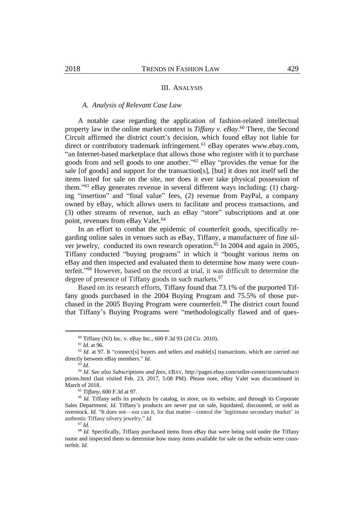#### III. ANALYSIS

# *A. Analysis of Relevant Case Law*

A notable case regarding the application of fashion-related intellectual property law in the online market context is *Tiffany v. eBay*. <sup>60</sup> There, the Second Circuit affirmed the district court's decision, which found eBay not liable for direct or contributory trademark infringement.<sup>61</sup> eBay operates www.ebay.com, "an Internet-based marketplace that allows those who register with it to purchase goods from and sell goods to one another." <sup>62</sup> eBay "provides the venue for the sale [of goods] and support for the transaction[s], [but] it does not itself sell the items listed for sale on the site, nor does it ever take physical possession of them." <sup>63</sup> eBay generates revenue in several different ways including: (1) charging "insertion" and "final value" fees, (2) revenue from PayPal, a company owned by eBay, which allows users to facilitate and process transactions, and (3) other streams of revenue, such as eBay "store" subscriptions and at one point, revenues from eBay Valet.<sup>64</sup>

In an effort to combat the epidemic of counterfeit goods, specifically regarding online sales in venues such as eBay, Tiffany, a manufacturer of fine silver jewelry, conducted its own research operation.<sup>65</sup> In 2004 and again in 2005, Tiffany conducted "buying programs" in which it "bought various items on eBay and then inspected and evaluated them to determine how many were counterfeit." <sup>66</sup> However, based on the record at trial, it was difficult to determine the degree of presence of Tiffany goods in such markets.<sup>67</sup>

Based on its research efforts, Tiffany found that 73.1% of the purported Tiffany goods purchased in the 2004 Buying Program and 75.5% of those purchased in the 2005 Buying Program were counterfeit.<sup>68</sup> The district court found that Tiffany's Buying Programs were "methodologically flawed and of ques-

<sup>60</sup> Tiffany (NJ) Inc. v. eBay Inc., 600 F.3d 93 (2d Cir. 2010).

<sup>61</sup> *Id.* at 96.

<sup>&</sup>lt;sup>62</sup> *Id.* at 97. It "connect[s] buyers and sellers and enable[s] transactions, which are carried out directly between eBay members." *Id.*

<sup>63</sup> *Id.*

<sup>64</sup> *Id. See also Subscriptions and fees*, EBAY, http://pages.ebay.com/seller-center/stores/subscri ptions.html (last visited Feb. 23, 2017, 5:08 PM). Please note, eBay Valet was discontinued in March of 2018.

<sup>65</sup> *Tiffany*, 600 F.3d at 97.

<sup>&</sup>lt;sup>66</sup> *Id.* Tiffany sells its products by catalog, in store, on its website, and through its Corporate Sales Department. *Id.* Tiffany's products are never put on sale, liquidated, discounted, or sold as overstock. *Id.* "It does not—nor can it, for that matter—control the 'legitimate secondary market' in authentic Tiffany silvery jewelry." *Id.*

<sup>67</sup> *Id.*

<sup>&</sup>lt;sup>68</sup> *Id.* Specifically, Tiffany purchased items from eBay that were being sold under the Tiffany name and inspected them to determine how many items available for sale on the website were counterfeit. *Id.*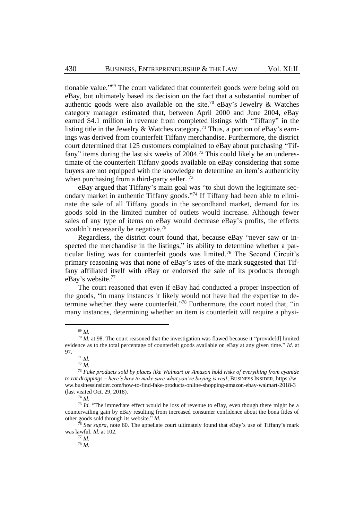tionable value." <sup>69</sup> The court validated that counterfeit goods were being sold on eBay, but ultimately based its decision on the fact that a substantial number of authentic goods were also available on the site.<sup>70</sup> eBay's Jewelry & Watches category manager estimated that, between April 2000 and June 2004, eBay earned \$4.1 million in revenue from completed listings with "Tiffany" in the listing title in the Jewelry & Watches category.<sup>71</sup> Thus, a portion of eBay's earnings was derived from counterfeit Tiffany merchandise. Furthermore, the district court determined that 125 customers complained to eBay about purchasing "Tiffany" items during the last six weeks of 2004.<sup>72</sup> This could likely be an underestimate of the counterfeit Tiffany goods available on eBay considering that some buyers are not equipped with the knowledge to determine an item's authenticity when purchasing from a third-party seller.<sup>73</sup>

eBay argued that Tiffany's main goal was "to shut down the legitimate secondary market in authentic Tiffany goods." <sup>74</sup> If Tiffany had been able to eliminate the sale of all Tiffany goods in the secondhand market, demand for its goods sold in the limited number of outlets would increase. Although fewer sales of any type of items on eBay would decrease eBay's profits, the effects wouldn't necessarily be negative.<sup>75</sup>

Regardless, the district court found that, because eBay "never saw or inspected the merchandise in the listings," its ability to determine whether a particular listing was for counterfeit goods was limited.<sup>76</sup> The Second Circuit's primary reasoning was that none of eBay's uses of the mark suggested that Tiffany affiliated itself with eBay or endorsed the sale of its products through eBay's website.<sup>77</sup>

The court reasoned that even if eBay had conducted a proper inspection of the goods, "in many instances it likely would not have had the expertise to determine whether they were counterfeit."<sup>78</sup> Furthermore, the court noted that, "in many instances, determining whether an item is counterfeit will require a physi-

<sup>69</sup> *Id.*

<sup>70</sup> *Id.* at 98. The court reasoned that the investigation was flawed because it "provide[d] limited evidence as to the total percentage of counterfeit goods available on eBay at any given time." *Id.* at 97.

<sup>71</sup> *Id.*

<sup>72</sup> *Id.*

<sup>73</sup> *Fake products sold by places like Walmart or Amazon hold risks of everything from cyanide to rat droppings – here's how to make sure what you're buying is real*, BUSINESS INSIDER, https://w ww.businessinsider.com/how-to-find-fake-products-online-shopping-amazon-ebay-walmart-2018-3 (last visited Oct. 29, 2018).

<sup>74</sup> *Id.*

<sup>&</sup>lt;sup>75</sup> *Id.* "The immediate effect would be loss of revenue to eBay, even though there might be a countervailing gain by eBay resulting from increased consumer confidence about the bona fides of other goods sold through its website." *Id.*

<sup>&</sup>lt;sup>6</sup> See supra, note 60. The appellate court ultimately found that eBay's use of Tiffany's mark was lawful. *Id.* at 102.

<sup>77</sup> *Id.*

<sup>78</sup> *Id.*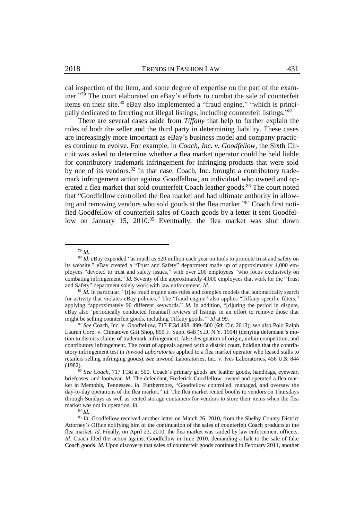cal inspection of the item, and some degree of expertise on the part of the examiner." <sup>79</sup> The court elaborated on eBay's efforts to combat the sale of counterfeit items on their site.<sup>80</sup> eBay also implemented a "fraud engine," "which is principally dedicated to ferreting out illegal listings, including counterfeit listings."<sup>81</sup>

There are several cases aside from *Tiffany* that help to further explain the roles of both the seller and the third party in determining liability. These cases are increasingly more important as eBay's business model and company practices continue to evolve. For example, in *Coach, Inc. v. Goodfellow*, the Sixth Circuit was asked to determine whether a flea market operator could be held liable for contributory trademark infringement for infringing products that were sold by one of its vendors.<sup>82</sup> In that case, Coach, Inc. brought a contributory trademark infringement action against Goodfellow, an individual who owned and operated a flea market that sold counterfeit Coach leather goods.<sup>83</sup> The court noted that "Goodfellow controlled the flea market and had ultimate authority in allowing and removing vendors who sold goods at the flea market." <sup>84</sup> Coach first notified Goodfellow of counterfeit sales of Coach goods by a letter it sent Goodfellow on January 15, 2010.<sup>85</sup> Eventually, the flea market was shut down

<sup>79</sup> *Id.*

<sup>80</sup> *Id*. eBay expended "as much as \$20 million each year on tools to promote trust and safety on its website." eBay created a "Trust and Safety" department made up of approximately 4,000 employees "devoted to trust and safety issues," with over 200 employees "who focus exclusively on combating infringement." *Id.* Seventy of the approximately 4,000 employees that work for the "Trust and Safety" department solely work with law enforcement. *Id.*

<sup>&</sup>lt;sup>81</sup> *Id.* In particular, "[t]he fraud engine uses rules and complex models that automatically search for activity that violates eBay policies." The "fraud engine" also applies "Tiffany-specific filters," applying "approximately 90 different keywords." *Id.* In addition, "[d]uring the period in dispute, eBay also 'periodically conducted [manual] reviews of listings in an effort to remove those that might be selling counterfeit goods, including Tiffany goods.'" *Id* at 99*.*

<sup>82</sup> *See* Coach, Inc. v. Goodfellow, 717 F.3d 498, 499–500 (6th Cir. 2013); *see also* Polo Ralph Lauren Corp. v. Chinatown Gift Shop, 855 F. Supp. 648 (S.D. N.Y. 1994) (denying defendant's motion to dismiss claims of trademark infringement, false designation of origin, unfair competition, and contributory infringement. The court of appeals agreed with a district court, holding that the contributory infringement test in *Inwood Laboratories* applied to a flea market operator who leased stalls to retailers selling infringing goods). *See* Inwood Laboratories, Inc. v. Ives Laboratories, 456 U.S. 844 (1982).

<sup>83</sup> *See Coach*, 717 F.3d at 500. Coach's primary goods are leather goods, handbags, eyewear, briefcases, and footwear. *Id.* The defendant, Frederick Goodfellow, owned and operated a flea market in Memphis, Tennessee. *Id.* Furthermore, "Goodfellow controlled, managed, and oversaw the day-to-day operations of the flea market." *Id.* The flea market rented booths to vendors on Thursdays through Sundays as well as rented storage containers for vendors to store their items when the flea market was not in operation. *Id.*

<sup>84</sup> *Id.*

<sup>&</sup>lt;sup>85</sup> Id. Goodfellow received another letter on March 26, 2010, from the Shelby County District Attorney's Office notifying him of the continuation of the sales of counterfeit Coach products at the flea market. *Id.* Finally, on April 23, 2010, the flea market was raided by law enforcement officers. *Id.* Coach filed the action against Goodfellow in June 2010, demanding a halt to the sale of fake Coach goods. *Id.* Upon discovery that sales of counterfeit goods continued in February 2011, another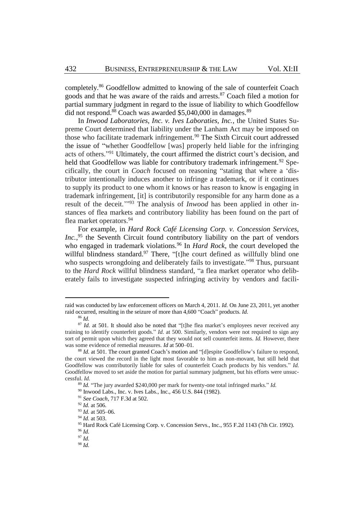completely.<sup>86</sup> Goodfellow admitted to knowing of the sale of counterfeit Coach goods and that he was aware of the raids and arrests.<sup>87</sup> Coach filed a motion for partial summary judgment in regard to the issue of liability to which Goodfellow did not respond.<sup>88</sup> Coach was awarded \$5,040,000 in damages.<sup>89</sup>

In *Inwood Laboratories, Inc. v. Ives Laboraties, Inc.*, the United States Supreme Court determined that liability under the Lanham Act may be imposed on those who facilitate trademark infringement.<sup>90</sup> The Sixth Circuit court addressed the issue of "whether Goodfellow [was] properly held liable for the infringing acts of others."<sup>91</sup> Ultimately, the court affirmed the district court's decision, and held that Goodfellow was liable for contributory trademark infringement.<sup>92</sup> Specifically, the court in *Coach* focused on reasoning "stating that where a 'distributor intentionally induces another to infringe a trademark, or if it continues to supply its product to one whom it knows or has reason to know is engaging in trademark infringement, [it] is contributorily responsible for any harm done as a result of the deceit.<sup>'"93</sup> The analysis of *Inwood* has been applied in other instances of flea markets and contributory liability has been found on the part of flea market operators.<sup>94</sup>

For example, in *Hard Rock Café Licensing Corp. v. Concession Services,*  Inc.,<sup>95</sup> the Seventh Circuit found contributory liability on the part of vendors who engaged in trademark violations.<sup>96</sup> In *Hard Rock*, the court developed the willful blindness standard.<sup>97</sup> There, "[t]he court defined as willfully blind one who suspects wrongdoing and deliberately fails to investigate."<sup>98</sup> Thus, pursuant to the *Hard Rock* willful blindness standard, "a flea market operator who deliberately fails to investigate suspected infringing activity by vendors and facili-

raid was conducted by law enforcement officers on March 4, 2011. *Id.* On June 23, 2011, yet another raid occurred, resulting in the seizure of more than 4,600 "Coach" products. *Id.*

<sup>86</sup> *Id.*

<sup>&</sup>lt;sup>87</sup> *Id.* at 501. It should also be noted that "[t]he flea market's employees never received any training to identify counterfeit goods." *Id.* at 500. Similarly, vendors were not required to sign any sort of permit upon which they agreed that they would not sell counterfeit items. *Id.* However, there was some evidence of remedial measures. *Id* at 500–01*.*

<sup>&</sup>lt;sup>88</sup> *Id.* at 501. The court granted Coach's motion and "[d]espite Goodfellow's failure to respond, the court viewed the record in the light most favorable to him as non-movant, but still held that Goodfellow was contributorily liable for sales of counterfeit Coach products by his vendors." *Id.* Goodfellow moved to set aside the motion for partial summary judgment, but his efforts were unsuccessful. *Id.*

<sup>89</sup> *Id.* "The jury awarded \$240,000 per mark for twenty-one total infringed marks." *Id.*

<sup>90</sup> Inwood Labs., Inc. v. Ives Labs., Inc., 456 U.S. 844 (1982).

<sup>91</sup> *See Coach*, 717 F.3d at 502.

<sup>92</sup> *Id.* at 506*.*

<sup>93</sup> *Id.* at 505–06*.*

<sup>94</sup> *Id.* at 503.

<sup>95</sup> Hard Rock Café Licensing Corp. v. Concession Servs., Inc., 955 F.2d 1143 (7th Cir. 1992).

<sup>96</sup> *Id.*

<sup>97</sup> *Id.*

<sup>98</sup> *Id.*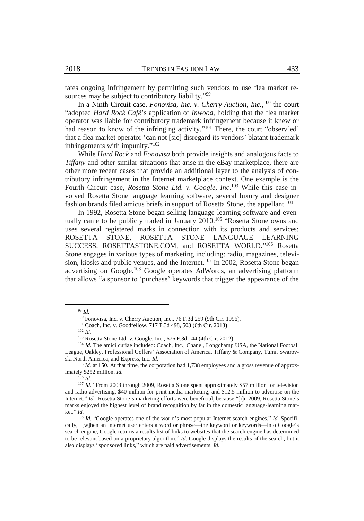tates ongoing infringement by permitting such vendors to use flea market resources may be subject to contributory liability."<sup>99</sup>

In a Ninth Circuit case, *Fonovisa, Inc. v. Cherry Auction, Inc.*,<sup>100</sup> the court "adopted *Hard Rock Café*'s application of *Inwood*, holding that the flea market operator was liable for contributory trademark infringement because it knew or had reason to know of the infringing activity."<sup>101</sup> There, the court "observ[ed] that a flea market operator 'can not [sic] disregard its vendors' blatant trademark infringements with impunity."<sup>102</sup>

While *Hard Rock* and *Fonovisa* both provide insights and analogous facts to *Tiffany* and other similar situations that arise in the eBay marketplace, there are other more recent cases that provide an additional layer to the analysis of contributory infringement in the Internet marketplace context. One example is the Fourth Circuit case, *Rosetta Stone Ltd. v. Google, Inc*. <sup>103</sup> While this case involved Rosetta Stone language learning software, several luxury and designer fashion brands filed amicus briefs in support of Rosetta Stone, the appellant.<sup>104</sup>

In 1992, Rosetta Stone began selling language-learning software and eventually came to be publicly traded in January 2010.<sup>105</sup> "Rosetta Stone owns and uses several registered marks in connection with its products and services: ROSETTA STONE, ROSETTA STONE LANGUAGE LEARNING SUCCESS, ROSETTASTONE.COM, and ROSETTA WORLD." <sup>106</sup> Rosetta Stone engages in various types of marketing including: radio, magazines, television, kiosks and public venues, and the Internet.<sup>107</sup> In 2002, Rosetta Stone began advertising on Google.<sup>108</sup> Google operates AdWords, an advertising platform that allows "a sponsor to 'purchase' keywords that trigger the appearance of the

 $\overline{a}$ 

<sup>105</sup> *Id.* at 150. At that time, the corporation had 1,738 employees and a gross revenue of approximately \$252 million. *Id.*

<sup>106</sup> *Id.*

<sup>99</sup> *Id.*

<sup>100</sup> Fonovisa, Inc. v. Cherry Auction, Inc., 76 F.3d 259 (9th Cir. 1996).

<sup>101</sup> Coach, Inc. v. Goodfellow, 717 F.3d 498, 503 (6th Cir. 2013).

<sup>102</sup> *Id.*

<sup>103</sup> Rosetta Stone Ltd. v. Google, Inc., 676 F.3d 144 (4th Cir. 2012).

<sup>&</sup>lt;sup>104</sup> Id. The amici curiae included: Coach, Inc., Chanel, Longchamp USA, the National Football League, Oakley, Professional Golfers' Association of America, Tiffany & Company, Tumi, Swarovski North America, and Express, Inc. *Id.*

<sup>&</sup>lt;sup>107</sup> *Id.* "From 2003 through 2009, Rosetta Stone spent approximately \$57 million for television and radio advertising, \$40 million for print media marketing, and \$12.5 million to advertise on the Internet." *Id.* Rosetta Stone's marketing efforts were beneficial, because "[i]n 2009, Rosetta Stone's marks enjoyed the highest level of brand recognition by far in the domestic language-learning market." *Id.*

<sup>&</sup>lt;sup>108</sup> *Id.* "Google operates one of the world's most popular Internet search engines." *Id.* Specifically, "[w]hen an Internet user enters a word or phrase—the keyword or keywords—into Google's search engine, Google returns a results list of links to websites that the search engine has determined to be relevant based on a proprietary algorithm." *Id.* Google displays the results of the search, but it also displays "sponsored links," which are paid advertisements. *Id.*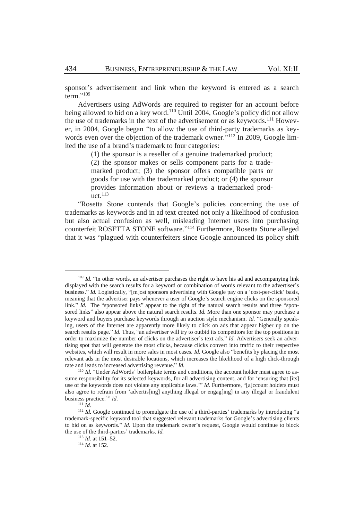sponsor's advertisement and link when the keyword is entered as a search term." 109

Advertisers using AdWords are required to register for an account before being allowed to bid on a key word.<sup>110</sup> Until 2004, Google's policy did not allow the use of trademarks in the text of the advertisement or as keywords.<sup>111</sup> However, in 2004, Google began "to allow the use of third-party trademarks as keywords even over the objection of the trademark owner."<sup>112</sup> In 2009, Google limited the use of a brand's trademark to four categories:

> (1) the sponsor is a reseller of a genuine trademarked product; (2) the sponsor makes or sells component parts for a trademarked product; (3) the sponsor offers compatible parts or goods for use with the trademarked product; or (4) the sponsor provides information about or reviews a trademarked product.<sup>113</sup>

"Rosetta Stone contends that Google's policies concerning the use of trademarks as keywords and in ad text created not only a likelihood of confusion but also actual confusion as well, misleading Internet users into purchasing counterfeit ROSETTA STONE software." <sup>114</sup> Furthermore, Rosetta Stone alleged that it was "plagued with counterfeiters since Google announced its policy shift

<sup>&</sup>lt;sup>109</sup> *Id.* "In other words, an advertiser purchases the right to have his ad and accompanying link displayed with the search results for a keyword or combination of words relevant to the advertiser's business." *Id.* Logistically, "[m]ost sponsors advertising with Google pay on a 'cost-per-click' basis, meaning that the advertiser pays whenever a user of Google's search engine clicks on the sponsored link." *Id.* The "sponsored links" appear to the right of the natural search results and three "sponsored links" also appear above the natural search results. *Id.* More than one sponsor may purchase a keyword and buyers purchase keywords through an auction style mechanism. *Id.* "Generally speaking, users of the Internet are apparently more likely to click on ads that appear higher up on the search results page." *Id.* Thus, "an advertiser will try to outbid its competitors for the top positions in order to maximize the number of clicks on the advertiser's text ads." *Id.* Advertisers seek an advertising spot that will generate the most clicks, because clicks convert into traffic to their respective websites, which will result in more sales in most cases. *Id.* Google also "benefits by placing the most relevant ads in the most desirable locations, which increases the likelihood of a high click-through rate and leads to increased advertising revenue." *Id.*

<sup>&</sup>lt;sup>110</sup> *Id.* "Under AdWords' boilerplate terms and conditions, the account holder must agree to assume responsibility for its selected keywords, for all advertising content, and for 'ensuring that [its] use of the keywords does not violate any applicable laws.'" *Id.* Furthermore, "[a]ccount holders must also agree to refrain from 'advertis[ing] anything illegal or engag[ing] in any illegal or fraudulent business practice.'" *Id.*

 $^{111}$ *Id.* 

<sup>&</sup>lt;sup>112</sup> *Id.* Google continued to promulgate the use of a third-parties' trademarks by introducing "a trademark-specific keyword tool that suggested relevant trademarks for Google's advertising clients to bid on as keywords." *Id.* Upon the trademark owner's request, Google would continue to block the use of the third-parties' trademarks. *Id.*

<sup>113</sup> *Id.* at 151–52.

<sup>114</sup> *Id.* at 152.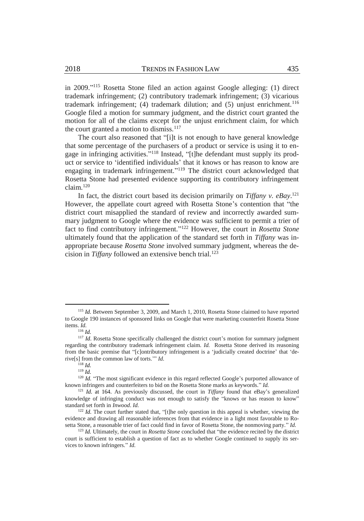in 2009." <sup>115</sup> Rosetta Stone filed an action against Google alleging: (1) direct trademark infringement; (2) contributory trademark infringement; (3) vicarious trademark infringement; (4) trademark dilution; and  $(5)$  unjust enrichment.<sup>116</sup> Google filed a motion for summary judgment, and the district court granted the motion for all of the claims except for the unjust enrichment claim, for which the court granted a motion to dismiss.<sup>117</sup>

The court also reasoned that "[i]t is not enough to have general knowledge that some percentage of the purchasers of a product or service is using it to engage in infringing activities."<sup>118</sup> Instead, "[t]he defendant must supply its product or service to 'identified individuals' that it knows or has reason to know are engaging in trademark infringement."<sup>119</sup> The district court acknowledged that Rosetta Stone had presented evidence supporting its contributory infringement claim.<sup>120</sup>

In fact, the district court based its decision primarily on *Tiffany v. eBay*. 121 However, the appellate court agreed with Rosetta Stone's contention that "the district court misapplied the standard of review and incorrectly awarded summary judgment to Google where the evidence was sufficient to permit a trier of fact to find contributory infringement." <sup>122</sup> However, the court in *Rosetta Stone* ultimately found that the application of the standard set forth in *Tiffany* was inappropriate because *Rosetta Stone* involved summary judgment, whereas the decision in *Tiffany* followed an extensive bench trial.<sup>123</sup>

<sup>&</sup>lt;sup>115</sup> *Id.* Between September 3, 2009, and March 1, 2010, Rosetta Stone claimed to have reported to Google 190 instances of sponsored links on Google that were marketing counterfeit Rosetta Stone items. *Id.*

<sup>116</sup> *Id.* 

<sup>&</sup>lt;sup>117</sup> *Id*. Rosetta Stone specifically challenged the district court's motion for summary judgment regarding the contributory trademark infringement claim. *Id.* Rosetta Stone derived its reasoning from the basic premise that "[c]ontributory infringement is a 'judicially created doctrine' that 'derive[s] from the common law of torts.'" *Id.*

<sup>118</sup> *Id.*

<sup>119</sup> *Id.*

<sup>&</sup>lt;sup>120</sup> *Id.* "The most significant evidence in this regard reflected Google's purported allowance of known infringers and counterfeiters to bid on the Rosetta Stone marks as keywords." *Id.*

<sup>121</sup> *Id.* at 164. As previously discussed, the court in *Tiffany* found that eBay's generalized knowledge of infringing conduct was not enough to satisfy the "knows or has reason to know" standard set forth in *Inwood*. *Id.*

 $122$  *Id.* The court further stated that, "[t]he only question in this appeal is whether, viewing the evidence and drawing all reasonable inferences from that evidence in a light most favorable to Rosetta Stone, a reasonable trier of fact could find in favor of Rosetta Stone, the nonmoving party." *Id.*

<sup>123</sup> *Id.* Ultimately, the court in *Rosetta Stone* concluded that "the evidence recited by the district court is sufficient to establish a question of fact as to whether Google continued to supply its services to known infringers." *Id.*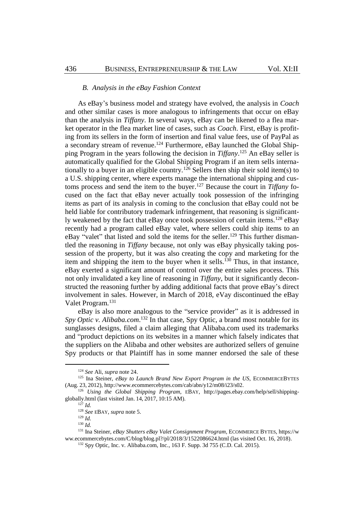#### *B. Analysis in the eBay Fashion Context*

As eBay's business model and strategy have evolved, the analysis in *Coach* and other similar cases is more analogous to infringements that occur on eBay than the analysis in *Tiffany*. In several ways, eBay can be likened to a flea market operator in the flea market line of cases, such as *Coach*. First, eBay is profiting from its sellers in the form of insertion and final value fees, use of PayPal as a secondary stream of revenue.<sup>124</sup> Furthermore, eBay launched the Global Shipping Program in the years following the decision in *Tiffany*. <sup>125</sup> An eBay seller is automatically qualified for the Global Shipping Program if an item sells internationally to a buyer in an eligible country.<sup>126</sup> Sellers then ship their sold item(s) to a U.S. shipping center, where experts manage the international shipping and customs process and send the item to the buyer. <sup>127</sup> Because the court in *Tiffany* focused on the fact that eBay never actually took possession of the infringing items as part of its analysis in coming to the conclusion that eBay could not be held liable for contributory trademark infringement, that reasoning is significantly weakened by the fact that eBay once took possession of certain items.<sup>128</sup> eBay recently had a program called eBay valet, where sellers could ship items to an eBay "valet" that listed and sold the items for the seller.<sup>129</sup> This further dismantled the reasoning in *Tiffany* because, not only was eBay physically taking possession of the property, but it was also creating the copy and marketing for the item and shipping the item to the buyer when it sells.<sup>130</sup> Thus, in that instance, eBay exerted a significant amount of control over the entire sales process. This not only invalidated a key line of reasoning in *Tiffany*, but it significantly deconstructed the reasoning further by adding additional facts that prove eBay's direct involvement in sales. However, in March of 2018, eVay discontinued the eBay Valet Program.<sup>131</sup>

eBay is also more analogous to the "service provider" as it is addressed in Spy Optic v. Alibaba.com.<sup>132</sup> In that case, Spy Optic, a brand most notable for its sunglasses designs, filed a claim alleging that Alibaba.com used its trademarks and "product depictions on its websites in a manner which falsely indicates that the suppliers on the Alibaba and other websites are authorized sellers of genuine Spy products or that Plaintiff has in some manner endorsed the sale of these

<sup>124</sup> *See* Ali, *supra* not[e 24.](#page-4-0) 

<sup>&</sup>lt;sup>125</sup> Ina Steiner, *eBay to Launch Brand New Export Program in the US*, ECOMMERCEBYTES (Aug. 23, 2012), http://www.ecommercebytes.com/cab/abn/y12/m08/i23/s02.

<sup>126</sup> *Using the Global Shipping Program*, EBAY, http://pages.ebay.com/help/sell/shippingglobally.html (last visited Jan. 14, 2017, 10:15 AM).

 $^{127}$  *Id.* 

<sup>128</sup> *See* EBAY, *supra* not[e 5.](#page-2-2)

 $129$  *Id.* 

<sup>130</sup> *Id.*

<sup>131</sup> Ina Steiner, *eBay Shutters eBay Valet Consignment Program*, ECOMMERCE BYTES, https://w ww.ecommercebytes.com/C/blog/blog.pl?/pl/2018/3/1522086624.html (las visited Oct. 16, 2018).

<sup>132</sup> Spy Optic, Inc. v. Alibaba.com, Inc*.*, 163 F. Supp. 3d 755 (C.D. Cal. 2015).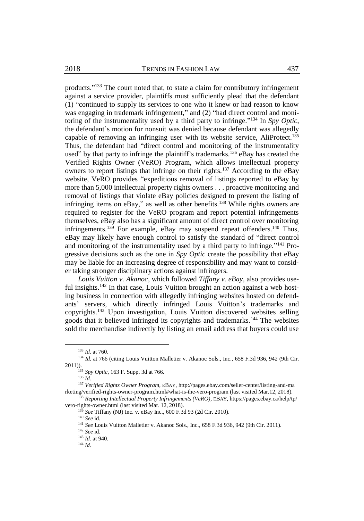products."<sup>133</sup> The court noted that, to state a claim for contributory infringement against a service provider, plaintiffs must sufficiently plead that the defendant (1) "continued to supply its services to one who it knew or had reason to know was engaging in trademark infringement," and (2) "had direct control and monitoring of the instrumentality used by a third party to infringe." <sup>134</sup> In *Spy Optic*, the defendant's motion for nonsuit was denied because defendant was allegedly capable of removing an infringing user with its website service, AliProtect.<sup>135</sup> Thus, the defendant had "direct control and monitoring of the instrumentality used" by that party to infringe the plaintiff's trademarks.<sup>136</sup> eBay has created the Verified Rights Owner (VeRO) Program, which allows intellectual property owners to report listings that infringe on their rights.<sup>137</sup> According to the eBay website, VeRO provides "expeditious removal of listings reported to eBay by more than 5,000 intellectual property rights owners . . . proactive monitoring and removal of listings that violate eBay policies designed to prevent the listing of infringing items on eBay," as well as other benefits.<sup>138</sup> While rights owners are required to register for the VeRO program and report potential infringements themselves, eBay also has a significant amount of direct control over monitoring infringements.<sup>139</sup> For example, eBay may suspend repeat offenders.<sup>140</sup> Thus, eBay may likely have enough control to satisfy the standard of "direct control and monitoring of the instrumentality used by a third party to infringe."<sup>141</sup> Progressive decisions such as the one in *Spy Optic* create the possibility that eBay may be liable for an increasing degree of responsibility and may want to consider taking stronger disciplinary actions against infringers.

*Louis Vuitton v. Akanoc*, which followed *Tiffany v. eBay*, also provides useful insights.<sup>142</sup> In that case, Louis Vuitton brought an action against a web hosting business in connection with allegedly infringing websites hosted on defendants' servers, which directly infringed Louis Vuitton's trademarks and copyrights.<sup>143</sup> Upon investigation, Louis Vuitton discovered websites selling goods that it believed infringed its copyrights and trademarks.<sup>144</sup> The websites sold the merchandise indirectly by listing an email address that buyers could use

<sup>133</sup> *Id.* at 760.

<sup>&</sup>lt;sup>134</sup> *Id.* at 766 (citing Louis Vuitton Malletier v. Akanoc Sols., Inc., 658 F.3d 936, 942 (9th Cir. 2011)).

<sup>135</sup> *Spy Optic*, 163 F. Supp. 3d at 766.

<sup>136</sup> *Id.*

<sup>137</sup> *Verified Rights Owner Program,* EBAY, http://pages.ebay.com/seller-center/listing-and-ma rketing/verified-rights-owner-program.html#what-is-the-vero-program (last visited Mar.12, 2018).

<sup>138</sup> *Reporting Intellectual Property Infringements (VeRO)*, EBAY, https://pages.ebay.ca/help/tp/ vero-rights-owner.html (last visited Mar. 12, 2018).

<sup>139</sup> *See* Tiffany (NJ) Inc. v. eBay Inc., 600 F.3d 93 (2d Cir. 2010).

<sup>140</sup> *See* id.

<sup>141</sup> *See* Louis Vuitton Malletier v. Akanoc Sols., Inc., 658 F.3d 936, 942 (9th Cir. 2011).

<sup>142</sup> *See* id.

<sup>143</sup> *Id.* at 940.

<sup>144</sup> *Id.*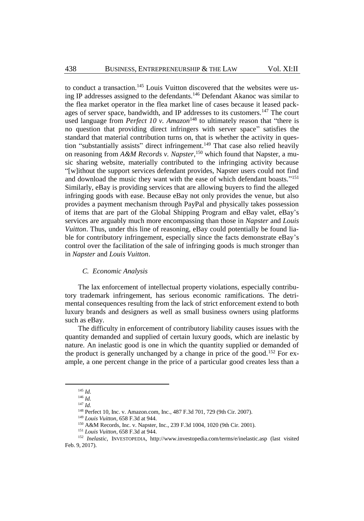to conduct a transaction.<sup>145</sup> Louis Vuitton discovered that the websites were using IP addresses assigned to the defendants.<sup>146</sup> Defendant Akanoc was similar to the flea market operator in the flea market line of cases because it leased packages of server space, bandwidth, and IP addresses to its customers.<sup>147</sup> The court used language from *Perfect 10 v. Amazon*<sup>148</sup> to ultimately reason that "there is no question that providing direct infringers with server space" satisfies the standard that material contribution turns on, that is whether the activity in question "substantially assists" direct infringement. <sup>149</sup> That case also relied heavily on reasoning from *A&M Records v. Napster*, <sup>150</sup> which found that Napster, a music sharing website, materially contributed to the infringing activity because "[w]ithout the support services defendant provides, Napster users could not find and download the music they want with the ease of which defendant boasts."<sup>151</sup> Similarly, eBay is providing services that are allowing buyers to find the alleged infringing goods with ease. Because eBay not only provides the venue, but also provides a payment mechanism through PayPal and physically takes possession of items that are part of the Global Shipping Program and eBay valet, eBay's services are arguably much more encompassing than those in *Napster* and *Louis Vuitton*. Thus, under this line of reasoning, eBay could potentially be found liable for contributory infringement, especially since the facts demonstrate eBay's control over the facilitation of the sale of infringing goods is much stronger than in *Napster* and *Louis Vuitton*.

#### *C. Economic Analysis*

The lax enforcement of intellectual property violations, especially contributory trademark infringement, has serious economic ramifications. The detrimental consequences resulting from the lack of strict enforcement extend to both luxury brands and designers as well as small business owners using platforms such as eBay.

The difficulty in enforcement of contributory liability causes issues with the quantity demanded and supplied of certain luxury goods, which are inelastic by nature. An inelastic good is one in which the quantity supplied or demanded of the product is generally unchanged by a change in price of the good.<sup>152</sup> For example, a one percent change in the price of a particular good creates less than a

<sup>145</sup> *Id.*

<sup>146</sup> *Id.*

<sup>147</sup> *Id.*

<sup>148</sup> Perfect 10, Inc. v. Amazon.com, Inc*.*, 487 F.3d 701, 729 (9th Cir. 2007).

<sup>149</sup> *Louis Vuitton*, 658 F.3d at 944.

<sup>150</sup> A&M Records, Inc. v. Napster, Inc., 239 F.3d 1004, 1020 (9th Cir. 2001).

<sup>151</sup> *Louis Vuitton*, 658 F.3d at 944.

<sup>152</sup> *Inelastic*, INVESTOPEDIA, http://www.investopedia.com/terms/e/inelastic.asp (last visited Feb. 9, 2017).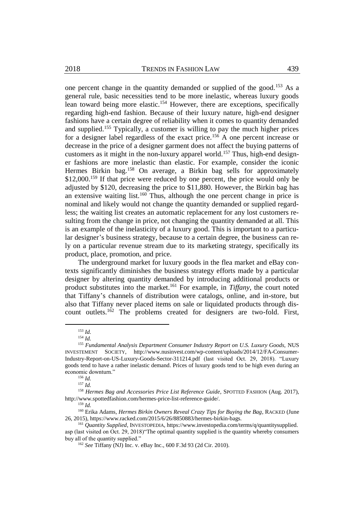one percent change in the quantity demanded or supplied of the good.<sup>153</sup> As a general rule, basic necessities tend to be more inelastic, whereas luxury goods lean toward being more elastic.<sup>154</sup> However, there are exceptions, specifically regarding high-end fashion. Because of their luxury nature, high-end designer fashions have a certain degree of reliability when it comes to quantity demanded and supplied.<sup>155</sup> Typically, a customer is willing to pay the much higher prices for a designer label regardless of the exact price.<sup>156</sup> A one percent increase or decrease in the price of a designer garment does not affect the buying patterns of customers as it might in the non-luxury apparel world.<sup>157</sup> Thus, high-end designer fashions are more inelastic than elastic. For example, consider the iconic Hermes Birkin bag.<sup>158</sup> On average, a Birkin bag sells for approximately \$12,000.<sup>159</sup> If that price were reduced by one percent, the price would only be adjusted by \$120, decreasing the price to \$11,880. However, the Birkin bag has an extensive waiting list.<sup>160</sup> Thus, although the one percent change in price is nominal and likely would not change the quantity demanded or supplied regardless; the waiting list creates an automatic replacement for any lost customers resulting from the change in price, not changing the quantity demanded at all. This is an example of the inelasticity of a luxury good. This is important to a particular designer's business strategy, because to a certain degree, the business can rely on a particular revenue stream due to its marketing strategy, specifically its product, place, promotion, and price.

The underground market for luxury goods in the flea market and eBay contexts significantly diminishes the business strategy efforts made by a particular designer by altering quantity demanded by introducing additional products or product substitutes into the market.<sup>161</sup> For example, in *Tiffany*, the court noted that Tiffany's channels of distribution were catalogs, online, and in-store, but also that Tiffany never placed items on sale or liquidated products through discount outlets.<sup>162</sup> The problems created for designers are two-fold. First,

<sup>153</sup> *Id.* 

<sup>154</sup> *Id.*

<sup>155</sup> *Fundamental Analysis Department Consumer Industry Report on U.S. Luxury Goods,* NUS INVESTEMENT SOCIETY, http://www.nusinvest.com/wp-content/uploads/2014/12/FA-Consumer-Industry-Report-on-US-Luxury-Goods-Sector-311214.pdf (last visited Oct. 29, 2018). "Luxury goods tend to have a rather inelastic demand. Prices of luxury goods tend to be high even during an economic downturn."

<sup>156</sup> *Id.*

<sup>157</sup> *Id.*

<sup>158</sup> *Hermes Bag and Accessories Price List Reference Guide*, SPOTTED FASHION (Aug. 2017), http://www.spottedfashion.com/hermes-price-list-reference-guide/.

<sup>159</sup> *Id.*

<sup>160</sup> Erika Adams, *Hermes Birkin Owners Reveal Crazy Tips for Buying the Bag*, RACKED (June 26, 2015), https://www.racked.com/2015/6/26/8850883/hermes-birkin-bags.

<sup>&</sup>lt;sup>161</sup> Quantity Supplied, INVESTOPEDIA, https://www.investopedia.com/terms/q/quantitysupplied. asp (last visited on Oct. 29, 2018)"The optimal quantity supplied is the quantity whereby consumers buy all of the quantity supplied."

<sup>162</sup> *See* Tiffany (NJ) Inc. v. eBay Inc., 600 F.3d 93 (2d Cir. 2010).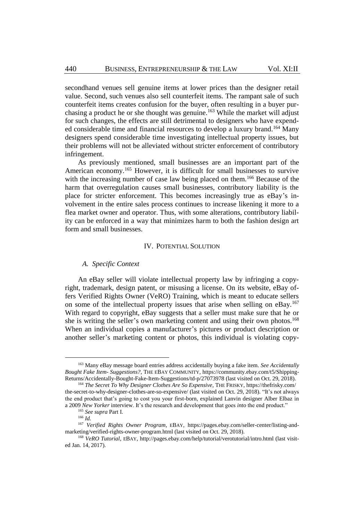secondhand venues sell genuine items at lower prices than the designer retail value. Second, such venues also sell counterfeit items. The rampant sale of such counterfeit items creates confusion for the buyer, often resulting in a buyer purchasing a product he or she thought was genuine.<sup>163</sup> While the market will adjust for such changes, the effects are still detrimental to designers who have expended considerable time and financial resources to develop a luxury brand.<sup>164</sup> Many designers spend considerable time investigating intellectual property issues, but their problems will not be alleviated without stricter enforcement of contributory infringement.

As previously mentioned, small businesses are an important part of the American economy.<sup>165</sup> However, it is difficult for small businesses to survive with the increasing number of case law being placed on them.<sup>166</sup> Because of the harm that overregulation causes small businesses, contributory liability is the place for stricter enforcement. This becomes increasingly true as eBay's involvement in the entire sales process continues to increase likening it more to a flea market owner and operator. Thus, with some alterations, contributory liability can be enforced in a way that minimizes harm to both the fashion design art form and small businesses.

### IV. POTENTIAL SOLUTION

#### *A. Specific Context*

An eBay seller will violate intellectual property law by infringing a copyright, trademark, design patent, or misusing a license. On its website, eBay offers Verified Rights Owner (VeRO) Training, which is meant to educate sellers on some of the intellectual property issues that arise when selling on eBay.<sup>167</sup> With regard to copyright, eBay suggests that a seller must make sure that he or she is writing the seller's own marketing content and using their own photos.<sup>168</sup> When an individual copies a manufacturer's pictures or product description or another seller's marketing content or photos, this individual is violating copy-

<sup>163</sup> Many eBay message board entries address accidentally buying a fake item*. See Accidentally Bought Fake Item- Suggestions?*, THE EBAY COMMUNITY, https://community.ebay.com/t5/Shipping-Returns/Accidentally-Bought-Fake-Item-Suggestions/td-p/27073978 (last visited on Oct. 29, 2018).

<sup>164</sup> *The Secret To Why Designer Clothes Are So Expensive*, THE FRISKY, https://thefrisky.com/ the-secret-to-why-designer-clothes-are-so-expensive/ (last visited on Oct. 29, 2018). "It's not always the end product that's going to cost you your first-born, explained Lanvin designer Alber Elbaz in a 2009 *New Yorker* [interview.](https://www.newyorker.com/reporting/2009/03/16/090316fa_fact_levy) It's the research and development that goes *into* the end product."

<sup>165</sup> *See supra* Part I.

<sup>166</sup> *Id.*

<sup>167</sup> *Verified Rights Owner Program*, EBAY, https://pages.ebay.com/seller-center/listing-andmarketing/verified-rights-owner-program.html (last visited on Oct. 29, 2018).

<sup>168</sup> *VeRO Tutorial*, EBAY, http://pages.ebay.com/help/tutorial/verotutorial/intro.html (last visited Jan. 14, 2017).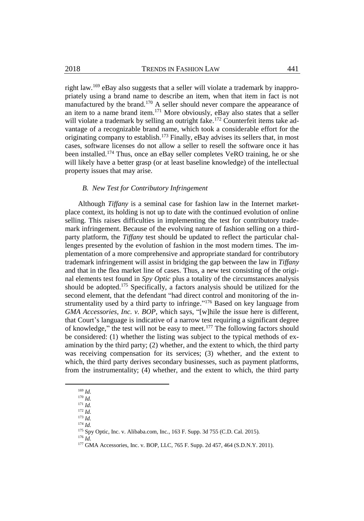right law.<sup>169</sup> eBay also suggests that a seller will violate a trademark by inappropriately using a brand name to describe an item, when that item in fact is not manufactured by the brand.<sup>170</sup> A seller should never compare the appearance of an item to a name brand item.<sup>171</sup> More obviously, eBay also states that a seller will violate a trademark by selling an outright fake.<sup>172</sup> Counterfeit items take advantage of a recognizable brand name, which took a considerable effort for the originating company to establish.<sup>173</sup> Finally, eBay advises its sellers that, in most cases, software licenses do not allow a seller to resell the software once it has been installed.<sup>174</sup> Thus, once an eBay seller completes VeRO training, he or she will likely have a better grasp (or at least baseline knowledge) of the intellectual property issues that may arise.

## *B. New Test for Contributory Infringement*

Although *Tiffany* is a seminal case for fashion law in the Internet marketplace context, its holding is not up to date with the continued evolution of online selling. This raises difficulties in implementing the test for contributory trademark infringement. Because of the evolving nature of fashion selling on a thirdparty platform, the *Tiffany* test should be updated to reflect the particular challenges presented by the evolution of fashion in the most modern times. The implementation of a more comprehensive and appropriate standard for contributory trademark infringement will assist in bridging the gap between the law in *Tiffany* and that in the flea market line of cases. Thus, a new test consisting of the original elements test found in *Spy Optic* plus a totality of the circumstances analysis should be adopted.<sup>175</sup> Specifically, a factors analysis should be utilized for the second element, that the defendant "had direct control and monitoring of the instrumentality used by a third party to infringe."<sup>176</sup> Based on key language from *GMA Accessories, Inc. v. BOP*, which says, "[w]hile the issue here is different, that Court's language is indicative of a narrow test requiring a significant degree of knowledge," the test will not be easy to meet.<sup>177</sup> The following factors should be considered: (1) whether the listing was subject to the typical methods of examination by the third party; (2) whether, and the extent to which, the third party was receiving compensation for its services; (3) whether, and the extent to which, the third party derives secondary businesses, such as payment platforms, from the instrumentality; (4) whether, and the extent to which, the third party

 $\overline{a}$ 

<sup>174</sup> *Id.*

<sup>169</sup> *Id.* <sup>170</sup> *Id.*

<sup>171</sup> *Id.*

<sup>172</sup> *Id.*

<sup>173</sup> *Id.*

<sup>175</sup> Spy Optic, Inc. v. Alibaba.com, Inc*.*, 163 F. Supp. 3d 755 (C.D. Cal. 2015).

<sup>176</sup> *Id.*

<sup>177</sup> GMA Accessories, Inc. v. BOP, LLC, 765 F. Supp. 2d 457, 464 (S.D.N.Y. 2011).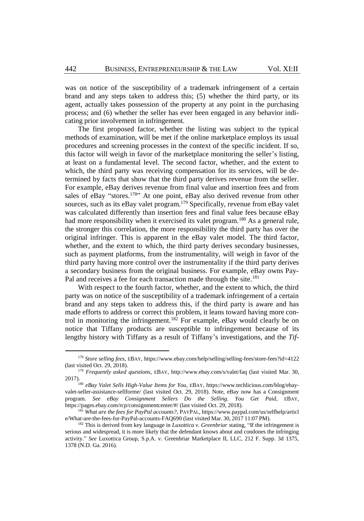was on notice of the susceptibility of a trademark infringement of a certain brand and any steps taken to address this; (5) whether the third party, or its agent, actually takes possession of the property at any point in the purchasing process; and (6) whether the seller has ever been engaged in any behavior indicating prior involvement in infringement.

The first proposed factor, whether the listing was subject to the typical methods of examination, will be met if the online marketplace employs its usual procedures and screening processes in the context of the specific incident. If so, this factor will weigh in favor of the marketplace monitoring the seller's listing, at least on a fundamental level. The second factor, whether, and the extent to which, the third party was receiving compensation for its services, will be determined by facts that show that the third party derives revenue from the seller. For example, eBay derives revenue from final value and insertion fees and from sales of eBay "stores.<sup>178</sup>" At one point, eBay also derived revenue from other sources, such as its eBay valet program.<sup>179</sup> Specifically, revenue from eBay valet was calculated differently than insertion fees and final value fees because eBay had more responsibility when it exercised its valet program.<sup>180</sup> As a general rule, the stronger this correlation, the more responsibility the third party has over the original infringer. This is apparent in the eBay valet model. The third factor, whether, and the extent to which, the third party derives secondary businesses, such as payment platforms, from the instrumentality, will weigh in favor of the third party having more control over the instrumentality if the third party derives a secondary business from the original business. For example, eBay owns Pay-Pal and receives a fee for each transaction made through the site.<sup>181</sup>

With respect to the fourth factor, whether, and the extent to which, the third party was on notice of the susceptibility of a trademark infringement of a certain brand and any steps taken to address this, if the third party is aware and has made efforts to address or correct this problem, it leans toward having more control in monitoring the infringement.<sup>182</sup> For example, eBay would clearly be on notice that Tiffany products are susceptible to infringement because of its lengthy history with Tiffany as a result of Tiffany's investigations, and the *Tif-*

<sup>178</sup> *Store selling fees*, EBAY, https://www.ebay.com/help/selling/selling-fees/store-fees?id=4122 (last visited Oct. 29, 2018).

<sup>179</sup> *Frequently asked questions*, EBAY, http://www.ebay.com/s/valet/faq (last visited Mar. 30, 2017).

<sup>180</sup> *eBay Valet Sells High-Value Items for You*, EBAY, https://www.techlicious.com/blog/ebayvalet-seller-assistance-sellforme/ (last visited Oct. 29, 2018). Note, eBay now has a Consignment program. *See eBay Consignment Sellers Do the Selling. You Get Paid*, EBAY, https://pages.ebay.com/rcp/consignmentcenter/#/ (last visited Oct. 29, 2018).

<sup>181</sup> *What are the fees for PayPal accounts?*, PAYPAL, https://www.paypal.com/us/selfhelp/articl e/What-are-the-fees-for-PayPal-accounts-FAQ690 (last visited Mar. 30, 2017 11:07 PM).

<sup>182</sup> This is derived from key language in *Luxottica v. Greenbriar* stating, "If the infringement is serious and widespread, it is more likely that the defendant knows about and condones the infringing activity." *See* Luxottica Group, S.p.A. v. Greenbriar Marketplace II, LLC, 212 F. Supp. 3d 1375, 1378 (N.D. Ga. 2016).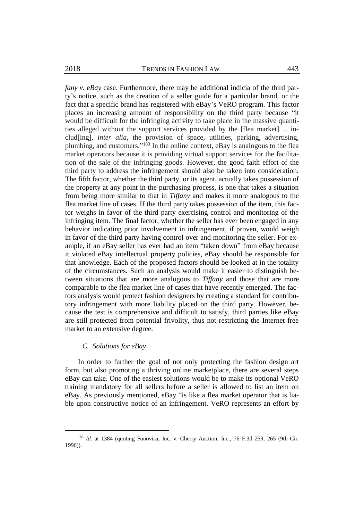*fany v. eBay* case. Furthermore, there may be additional indicia of the third party's notice, such as the creation of a seller guide for a particular brand, or the fact that a specific brand has registered with eBay's VeRO program. This factor places an increasing amount of responsibility on the third party because "it would be difficult for the infringing activity to take place in the massive quantities alleged without the support services provided by the [flea market] ... includ[ing], *inter alia*, the provision of space, utilities, parking, advertising, plumbing, and customers."<sup>183</sup> In the online context, eBay is analogous to the flea market operators because it is providing virtual support services for the facilitation of the sale of the infringing goods. However, the good faith effort of the third party to address the infringement should also be taken into consideration. The fifth factor, whether the third party, or its agent, actually takes possession of the property at any point in the purchasing process, is one that takes a situation from being more similar to that in *Tiffany* and makes it more analogous to the flea market line of cases. If the third party takes possession of the item, this factor weighs in favor of the third party exercising control and monitoring of the infringing item. The final factor, whether the seller has ever been engaged in any behavior indicating prior involvement in infringement, if proven, would weigh in favor of the third party having control over and monitoring the seller. For example, if an eBay seller has ever had an item "taken down" from eBay because it violated eBay intellectual property policies, eBay should be responsible for that knowledge. Each of the proposed factors should be looked at in the totality of the circumstances. Such an analysis would make it easier to distinguish between situations that are more analogous to *Tiffany* and those that are more comparable to the flea market line of cases that have recently emerged. The factors analysis would protect fashion designers by creating a standard for contributory infringement with more liability placed on the third party. However, because the test is comprehensive and difficult to satisfy, third parties like eBay are still protected from potential frivolity, thus not restricting the Internet free market to an extensive degree.

# *C. Solutions for eBay*

 $\overline{a}$ 

In order to further the goal of not only protecting the fashion design art form, but also promoting a thriving online marketplace, there are several steps eBay can take. One of the easiest solutions would be to make its optional VeRO training mandatory for all sellers before a seller is allowed to list an item on eBay. As previously mentioned, eBay "is like a flea market operator that is liable upon constructive notice of an infringement. VeRO represents an effort by

<sup>&</sup>lt;sup>183</sup> *Id.* at 1384 (quoting Fonovisa, Inc. v. Cherry Auction, Inc., 76 F.3d 259, 265 (9th Cir. 1996)).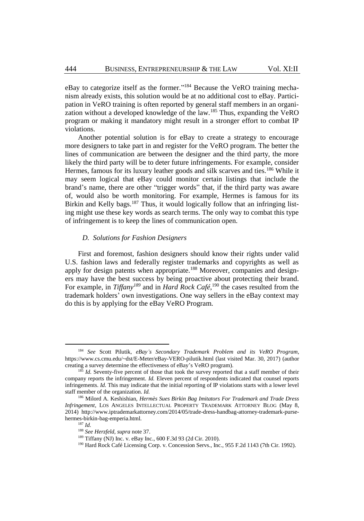eBay to categorize itself as the former."<sup>184</sup> Because the VeRO training mechanism already exists, this solution would be at no additional cost to eBay. Participation in VeRO training is often reported by general staff members in an organization without a developed knowledge of the law.<sup>185</sup> Thus, expanding the VeRO program or making it mandatory might result in a stronger effort to combat IP violations.

Another potential solution is for eBay to create a strategy to encourage more designers to take part in and register for the VeRO program. The better the lines of communication are between the designer and the third party, the more likely the third party will be to deter future infringements. For example, consider Hermes, famous for its luxury leather goods and silk scarves and ties.<sup>186</sup> While it may seem logical that eBay could monitor certain listings that include the brand's name, there are other "trigger words" that, if the third party was aware of, would also be worth monitoring. For example, Hermes is famous for its Birkin and Kelly bags.<sup>187</sup> Thus, it would logically follow that an infringing listing might use these key words as search terms. The only way to combat this type of infringement is to keep the lines of communication open.

# *D. Solutions for Fashion Designers*

First and foremost, fashion designers should know their rights under valid U.S. fashion laws and federally register trademarks and copyrights as well as apply for design patents when appropriate.<sup>188</sup> Moreover, companies and designers may have the best success by being proactive about protecting their brand. For example, in *Tiffany<sup>189</sup>* and in *Hard Rock Café*, <sup>190</sup> the cases resulted from the trademark holders' own investigations. One way sellers in the eBay context may do this is by applying for the eBay VeRO Program.

<sup>184</sup> *See* Scott Pilutik, *eBay's Secondary Trademark Problem and its VeRO Program*, https://www.cs.cmu.edu/~dst/E-Meter/eBay-VERO-pilutik.html (last visited Mar. 30, 2017) (author creating a survey determine the effectiveness of eBay's VeRO program).

<sup>&</sup>lt;sup>185</sup> *Id.* Seventy-five percent of those that took the survey reported that a staff member of their company reports the infringement. *Id.* Eleven percent of respondents indicated that counsel reports infringements. *Id.* This may indicate that the initial reporting of IP violations starts with a lower level staff member of the organization. *Id.*

<sup>186</sup> Milord A. Keshishian, *Hermès Sues Birkin Bag Imitators For Trademark and Trade Dress Infringement*, LOS ANGELES INTELLECTUAL PROPERTY TRADEMARK ATTORNEY BLOG (May 8, 2014) http://www.iptrademarkattorney.com/2014/05/trade-dress-handbag-attorney-trademark-pursehermes-birkin-bag-emperia.html.

<sup>187</sup> *Id.*

<sup>188</sup> *See Herzfeld, supra* not[e 37.](#page-6-0)

<sup>189</sup> Tiffany (NJ) Inc. v. eBay Inc., 600 F.3d 93 (2d Cir. 2010).

<sup>&</sup>lt;sup>190</sup> Hard Rock Café Licensing Corp. v. Concession Servs., Inc., 955 F.2d 1143 (7th Cir. 1992).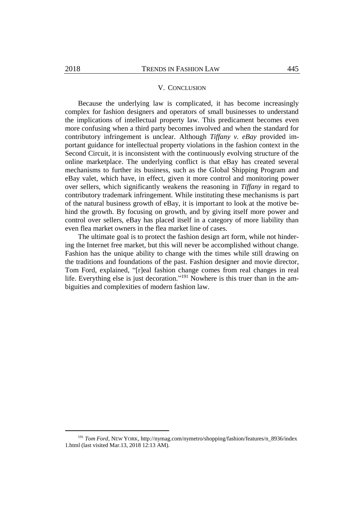#### V. CONCLUSION

Because the underlying law is complicated, it has become increasingly complex for fashion designers and operators of small businesses to understand the implications of intellectual property law. This predicament becomes even more confusing when a third party becomes involved and when the standard for contributory infringement is unclear. Although *Tiffany v. eBay* provided important guidance for intellectual property violations in the fashion context in the Second Circuit, it is inconsistent with the continuously evolving structure of the online marketplace. The underlying conflict is that eBay has created several mechanisms to further its business, such as the Global Shipping Program and eBay valet, which have, in effect, given it more control and monitoring power over sellers, which significantly weakens the reasoning in *Tiffany* in regard to contributory trademark infringement. While instituting these mechanisms is part of the natural business growth of eBay, it is important to look at the motive behind the growth. By focusing on growth, and by giving itself more power and control over sellers, eBay has placed itself in a category of more liability than even flea market owners in the flea market line of cases.

The ultimate goal is to protect the fashion design art form, while not hindering the Internet free market, but this will never be accomplished without change. Fashion has the unique ability to change with the times while still drawing on the traditions and foundations of the past. Fashion designer and movie director, Tom Ford, explained, "[r]eal fashion change comes from real changes in real life. Everything else is just decoration."<sup>191</sup> Nowhere is this truer than in the ambiguities and complexities of modern fashion law.

<sup>191</sup> *Tom Ford*, NEW YORK, http://nymag.com/nymetro/shopping/fashion/features/n\_8936/index 1.html (last visited Mar.13, 2018 12:13 AM).